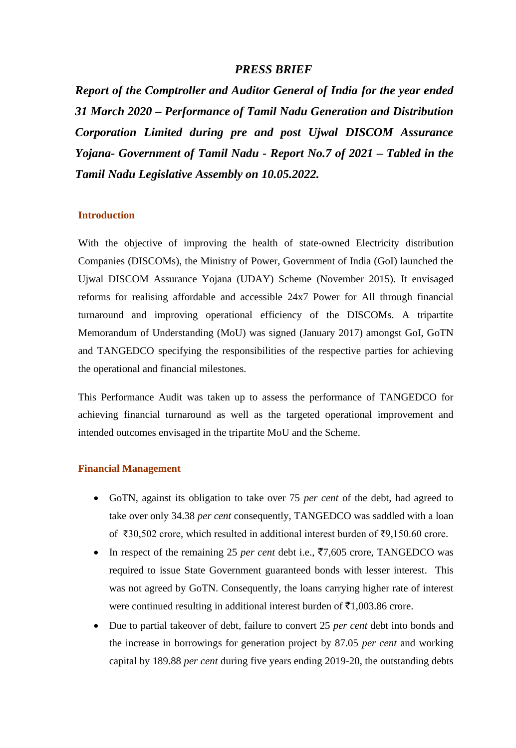# *PRESS BRIEF*

*Report of the Comptroller and Auditor General of India for the year ended 31 March 2020 – Performance of Tamil Nadu Generation and Distribution Corporation Limited during pre and post Ujwal DISCOM Assurance Yojana- Government of Tamil Nadu - Report No.7 of 2021 – Tabled in the Tamil Nadu Legislative Assembly on 10.05.2022.*

### **Introduction**

With the objective of improving the health of state-owned Electricity distribution Companies (DISCOMs), the Ministry of Power, Government of India (GoI) launched the Ujwal DISCOM Assurance Yojana (UDAY) Scheme (November 2015). It envisaged reforms for realising affordable and accessible 24x7 Power for All through financial turnaround and improving operational efficiency of the DISCOMs. A tripartite Memorandum of Understanding (MoU) was signed (January 2017) amongst GoI, GoTN and TANGEDCO specifying the responsibilities of the respective parties for achieving the operational and financial milestones.

This Performance Audit was taken up to assess the performance of TANGEDCO for achieving financial turnaround as well as the targeted operational improvement and intended outcomes envisaged in the tripartite MoU and the Scheme.

#### **Financial Management**

- GoTN, against its obligation to take over 75 *per cent* of the debt, had agreed to take over only 34.38 *per cent* consequently, TANGEDCO was saddled with a loan of ₹30,502 crore, which resulted in additional interest burden of ₹9,150.60 crore.
- In respect of the remaining 25 *per cent* debt i.e.,  $\overline{57,605}$  crore, TANGEDCO was required to issue State Government guaranteed bonds with lesser interest. This was not agreed by GoTN. Consequently, the loans carrying higher rate of interest were continued resulting in additional interest burden of  $\bar{\mathcal{F}}1,003.86$  crore.
- Due to partial takeover of debt, failure to convert 25 *per cent* debt into bonds and the increase in borrowings for generation project by 87.05 *per cent* and working capital by 189.88 *per cent* during five years ending 2019-20, the outstanding debts